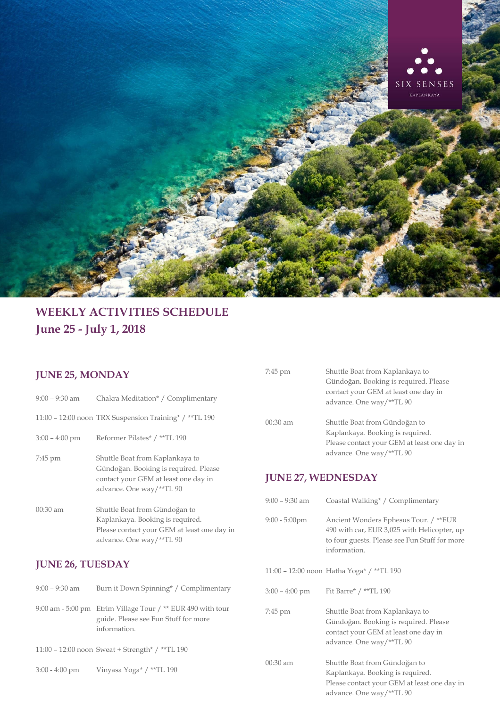

# **WEEKLY ACTIVITIES SCHEDULE June 25 - July 1, 2018**

#### **JUNE 25, MONDAY**

- 9:00 9:30 am Chakra Meditation\* / Complimentary
- 11:00 12:00 noon TRX Suspension Training\* / \*\*TL 190
- 3:00 4:00 pm Reformer Pilates\* / \*\*TL 190
- 7:45 pm Shuttle Boat from Kaplankaya to Gündoğan. Booking is required. Please contact your GEM at least one day in advance. One way/\*\*TL 90
- 00:30 am Shuttle Boat from Gündoğan to Kaplankaya. Booking is required. Please contact your GEM at least one day in advance. One way/\*\*TL 90

### **JUNE 26, TUESDAY**

| $9:00 - 9:30$ am | Burn it Down Spinning* / Complimentary                                                                              |
|------------------|---------------------------------------------------------------------------------------------------------------------|
|                  | 9:00 am - 5:00 pm Etrim Village Tour / ** EUR 490 with tour<br>guide. Please see Fun Stuff for more<br>information. |
|                  | 11:00 – 12:00 noon Sweat + Strength* / **TL 190                                                                     |

3:00 - 4:00 pm Vinyasa Yoga\* / \*\*TL 190

| 7:45 pm    | Shuttle Boat from Kaplankaya to             |
|------------|---------------------------------------------|
|            | Gündoğan. Booking is required. Please       |
|            | contact your GEM at least one day in        |
|            | advance. One way/**TL 90                    |
|            |                                             |
| $00:30$ am | Shuttle Boat from Gündoğan to               |
|            | Kaplankaya. Booking is required.            |
|            | Please contact your GEM at least one day in |
|            | advance. One way/**TL 90                    |
|            |                                             |

#### **JUNE 27, WEDNESDAY**

| 9:00 – 9:30 am   | Coastal Walking* / Complimentary                                                                                                                      |
|------------------|-------------------------------------------------------------------------------------------------------------------------------------------------------|
| $9:00 - 5:00$ pm | Ancient Wonders Ephesus Tour. / **EUR<br>490 with car, EUR 3,025 with Helicopter, up<br>to four guests. Please see Fun Stuff for more<br>information. |
|                  | 11:00 - 12:00 noon Hatha Yoga* / **TL 190                                                                                                             |
| 3:00 – 4:00 pm   | Fit Barre* / **TL 190                                                                                                                                 |
| 7:45 pm          | Shuttle Boat from Kaplankaya to<br>Gündoğan. Booking is required. Please<br>contact your GEM at least one day in<br>advance. One way/**TL 90          |
| 00:30 am         | Shuttle Boat from Gündoğan to<br>Kaplankaya. Booking is required.<br>Please contact your GEM at least one day in<br>advance. One way/**TL 90          |